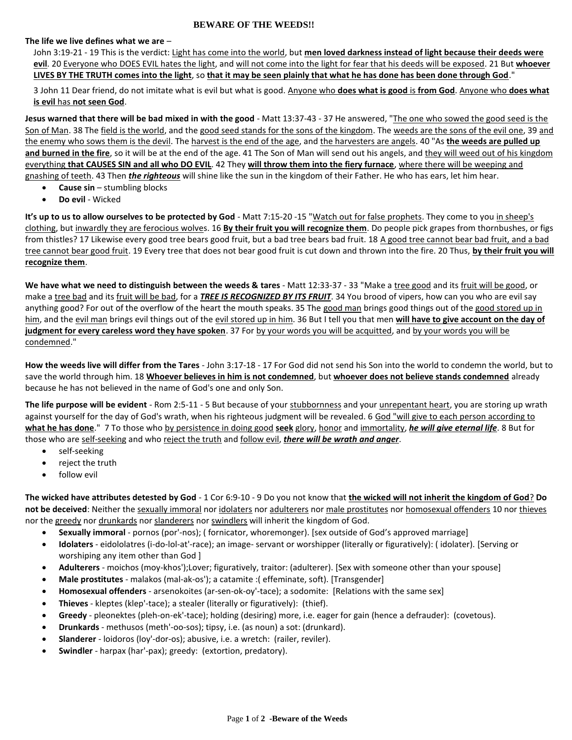## **BEWARE OF THE WEEDS!!**

## **The life we live defines what we are** –

John 3:19-21 - 19 This is the verdict: Light has come into the world, but **men loved darkness instead of light because their deeds were evil**. 20 Everyone who DOES EVIL hates the light, and will not come into the light for fear that his deeds will be exposed. 21 But **whoever LIVES BY THE TRUTH comes into the light**, so **that it may be seen plainly that what he has done has been done through God**."

3 John 11 Dear friend, do not imitate what is evil but what is good. Anyone who **does what is good** is **from God**. Anyone who **does what is evil** has **not seen God**.

**Jesus warned that there will be bad mixed in with the good** - Matt 13:37-43 - 37 He answered, "The one who sowed the good seed is the Son of Man. 38 The field is the world, and the good seed stands for the sons of the kingdom. The weeds are the sons of the evil one, 39 and the enemy who sows them is the devil. The harvest is the end of the age, and the harvesters are angels. 40 "As **the weeds are pulled up and burned in the fire**, so it will be at the end of the age. 41 The Son of Man will send out his angels, and they will weed out of his kingdom everything **that CAUSES SIN and all who DO EVIL**. 42 They **will throw them into the fiery furnace**, where there will be weeping and gnashing of teeth. 43 Then *the righteous* will shine like the sun in the kingdom of their Father. He who has ears, let him hear.

- **Cause sin** stumbling blocks
- **Do evil** Wicked

**It's up to us to allow ourselves to be protected by God** - Matt 7:15-20 -15 "Watch out for false prophets. They come to you in sheep's clothing, but inwardly they are ferocious wolves. 16 **By their fruit you will recognize them**. Do people pick grapes from thornbushes, or figs from thistles? 17 Likewise every good tree bears good fruit, but a bad tree bears bad fruit. 18 A good tree cannot bear bad fruit, and a bad tree cannot bear good fruit. 19 Every tree that does not bear good fruit is cut down and thrown into the fire. 20 Thus, **by their fruit you will recognize them**.

**We have what we need to distinguish between the weeds & tares** - Matt 12:33-37 - 33 "Make a tree good and its fruit will be good, or make a tree bad and its fruit will be bad, for a *TREE IS RECOGNIZED BY ITS FRUIT*. 34 You brood of vipers, how can you who are evil say anything good? For out of the overflow of the heart the mouth speaks. 35 The good man brings good things out of the good stored up in him, and the evil man brings evil things out of the evil stored up in him. 36 But I tell you that men **will have to give account on the day of judgment for every careless word they have spoken**. 37 For by your words you will be acquitted, and by your words you will be condemned."

**How the weeds live will differ from the Tares** - John 3:17-18 - 17 For God did not send his Son into the world to condemn the world, but to save the world through him. 18 **Whoever believes in him is not condemned**, but **whoever does not believe stands condemned** already because he has not believed in the name of God's one and only Son.

**The life purpose will be evident** - Rom 2:5-11 - 5 But because of your stubbornness and your unrepentant heart, you are storing up wrath against yourself for the day of God's wrath, when his righteous judgment will be revealed. 6 God "will give to each person according to **what he has done**." 7 To those who by persistence in doing good **seek** glory, honor and immortality, *he will give eternal life*. 8 But for those who are self-seeking and who reject the truth and follow evil, *there will be wrath and anger*.

- self-seeking
- reject the truth
- follow evil

**The wicked have attributes detested by God** - 1 Cor 6:9-10 - 9 Do you not know that **the wicked will not inherit the kingdom of God**? **Do**  not be deceived: Neither the sexually immoral nor idolaters nor adulterers nor male prostitutes nor homosexual offenders 10 nor thieves nor the greedy nor drunkards nor slanderers nor swindlers will inherit the kingdom of God.

- **Sexually immoral** pornos (por'-nos); ( fornicator, whoremonger). [sex outside of God's approved marriage]
- **Idolaters**  eidololatres (i-do-lol-at'-race); an image- servant or worshipper (literally or figuratively): ( idolater). [Serving or worshiping any item other than God ]
- **Adulterers** moichos (moy-khos');Lover; figuratively, traitor: (adulterer). [Sex with someone other than your spouse]
- **Male prostitutes** malakos (mal-ak-os'); a catamite :( effeminate, soft). [Transgender]
- **Homosexual offenders** arsenokoites (ar-sen-ok-oy'-tace); a sodomite: [Relations with the same sex]
- **Thieves** kleptes (klep'-tace); a stealer (literally or figuratively): (thief).
- **Greedy** pleonektes (pleh-on-ek'-tace); holding (desiring) more, i.e. eager for gain (hence a defrauder): (covetous).
- **Drunkards** methusos (meth'-oo-sos); tipsy, i.e. (as noun) a sot: (drunkard).
- **Slanderer** loidoros (loy'-dor-os); abusive, i.e. a wretch: (railer, reviler).
- **Swindler** harpax (har'-pax); greedy: (extortion, predatory).